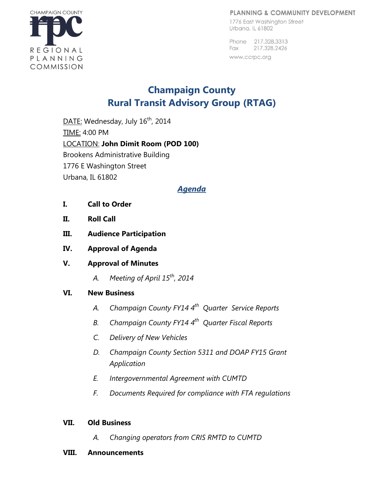#### PLANNING & COMMUNITY DEVELOPMENT

1776 East Washington Street Urbana, IL 61802

Phone 217,328,3313 Fax 217.328.2426 www.ccrpc.org



# **Champaign County Rural Transit Advisory Group (RTAG)**

DATE: Wednesday, July 16<sup>th</sup>, 2014 TIME: 4:00 PM LOCATION: **John Dimit Room (POD 100)** Brookens Administrative Building 1776 E Washington Street Urbana, IL 61802

### *Agenda*

- **I. Call to Order**
- **II. Roll Call**
- **III. Audience Participation**
- **IV. Approval of Agenda**
- **V. Approval of Minutes** 
	- *A. Meeting of April 15th, 2014*

#### **VI. New Business**

- *A. Champaign County FY14 4 th Quarter Service Reports*
- *B. Champaign County FY14 4 th Quarter Fiscal Reports*
- *C. Delivery of New Vehicles*
- *D. Champaign County Section 5311 and DOAP FY15 Grant Application*
- *E. Intergovernmental Agreement with CUMTD*
- *F. Documents Required for compliance with FTA regulations*

#### **VII. Old Business**

*A. Changing operators from CRIS RMTD to CUMTD* 

#### **VIII. Announcements**